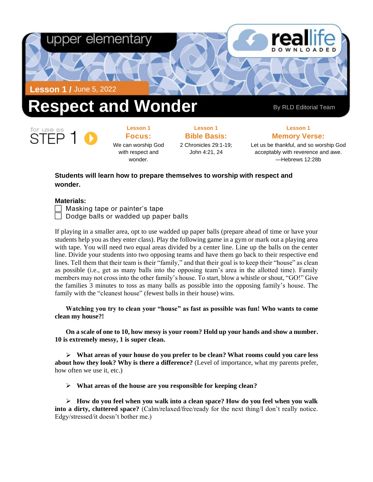

**Lesson 1 Focus:**  We can worship God with respect and wonder.

**Lesson 1 Bible Basis:** 2 Chronicles 29:1-19;

John 4:21, 24

**Lesson 1**

**Memory Verse:**

Let us be thankful, and so worship God acceptably with reverence and awe. —Hebrews 12:28b

## **Students will learn how to prepare themselves to worship with respect and wonder.**

### **Materials:**

 $\Box$  Masking tape or painter's tape

 $\Box$  Dodge balls or wadded up paper balls

If playing in a smaller area, opt to use wadded up paper balls (prepare ahead of time or have your students help you as they enter class). Play the following game in a gym or mark out a playing area with tape. You will need two equal areas divided by a center line. Line up the balls on the center line. Divide your students into two opposing teams and have them go back to their respective end lines. Tell them that their team is their "family," and that their goal is to keep their "house" as clean as possible (i.e., get as many balls into the opposing team's area in the allotted time). Family members may not cross into the other family's house. To start, blow a whistle or shout, "GO!" Give the families 3 minutes to toss as many balls as possible into the opposing family's house. The family with the "cleanest house" (fewest balls in their house) wins.

**Watching you try to clean your "house" as fast as possible was fun! Who wants to come clean my house?!** 

**On a scale of one to 10, how messy is your room? Hold up your hands and show a number. 10 is extremely messy, 1 is super clean.** 

➢ **What areas of your house do you prefer to be clean? What rooms could you care less about how they look? Why is there a difference?** (Level of importance, what my parents prefer, how often we use it, etc.)

➢ **What areas of the house are you responsible for keeping clean?** 

➢ **How do you feel when you walk into a clean space? How do you feel when you walk into a dirty, cluttered space?** (Calm/relaxed/free/ready for the next thing/I don't really notice. Edgy/stressed/it doesn't bother me.)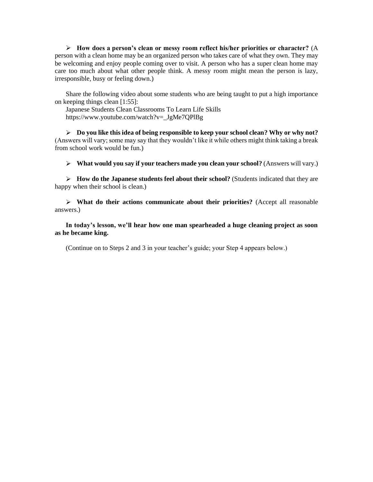➢ **How does a person's clean or messy room reflect his/her priorities or character?** (A person with a clean home may be an organized person who takes care of what they own. They may be welcoming and enjoy people coming over to visit. A person who has a super clean home may care too much about what other people think. A messy room might mean the person is lazy, irresponsible, busy or feeling down.)

Share the following video about some students who are being taught to put a high importance on keeping things clean [1:55]:

Japanese Students Clean Classrooms To Learn Life Skills [https://www.youtube.com/watch?v=\\_JgMe7QPlBg](https://www.youtube.com/watch?v=_JgMe7QPlBg)

➢ **Do you like this idea of being responsible to keep your school clean? Why or why not?** (Answers will vary; some may say that they wouldn't like it while others might think taking a break from school work would be fun.)

➢ **What would you say if your teachers made you clean your school?** (Answers will vary.)

➢ **How do the Japanese students feel about their school?** (Students indicated that they are happy when their school is clean.)

➢ **What do their actions communicate about their priorities?** (Accept all reasonable answers.)

**In today's lesson, we'll hear how one man spearheaded a huge cleaning project as soon as he became king.**

(Continue on to Steps 2 and 3 in your teacher's guide; your Step 4 appears below.)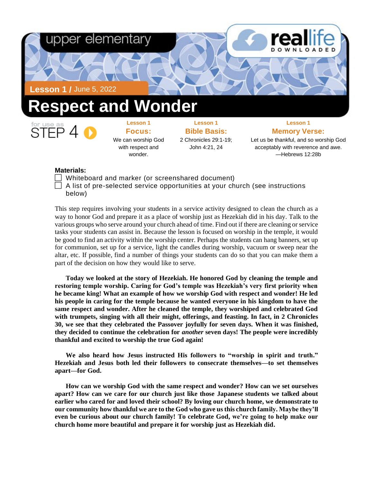

# **Lesson 1**

**Focus:**  We can worship God with respect and wonder.

**Lesson 1 Bible Basis:** 2 Chronicles 29:1-19; John 4:21, 24

**Lesson 1 Memory Verse:**

Let us be thankful, and so worship God acceptably with reverence and awe. —Hebrews 12:28b

#### **Materials:**

- $\Box$  Whiteboard and marker (or screenshared document)
- A list of pre-selected service opportunities at your church (see instructions below)

This step requires involving your students in a service activity designed to clean the church as a way to honor God and prepare it as a place of worship just as Hezekiah did in his day. Talk to the various groups who serve around your church ahead of time. Find out if there are cleaning or service tasks your students can assist in. Because the lesson is focused on worship in the temple, it would be good to find an activity within the worship center. Perhaps the students can hang banners, set up for communion, set up for a service, light the candles during worship, vacuum or sweep near the altar, etc. If possible, find a number of things your students can do so that you can make them a part of the decision on how they would like to serve.

**Today we looked at the story of Hezekiah. He honored God by cleaning the temple and restoring temple worship. Caring for God's temple was Hezekiah's very first priority when he became king! What an example of how we worship God with respect and wonder! He led his people in caring for the temple because he wanted everyone in his kingdom to have the same respect and wonder. After he cleaned the temple, they worshiped and celebrated God with trumpets, singing with all their might, offerings, and feasting. In fact, in 2 Chronicles 30, we see that they celebrated the Passover joyfully for seven days. When it was finished, they decided to continue the celebration for** *another* **seven days! The people were incredibly thankful and excited to worship the true God again!** 

**We also heard how Jesus instructed His followers to "worship in spirit and truth." Hezekiah and Jesus both led their followers to consecrate themselves—to set themselves apart—for God.** 

**How can we worship God with the same respect and wonder? How can we set ourselves apart? How can we care for our church just like those Japanese students we talked about earlier who cared for and loved their school? By loving our church home, we demonstrate to our community how thankful we are to the God who gave us this church family. Maybe they'll even be curious about our church family! To celebrate God, we're going to help make our church home more beautiful and prepare it for worship just as Hezekiah did.**